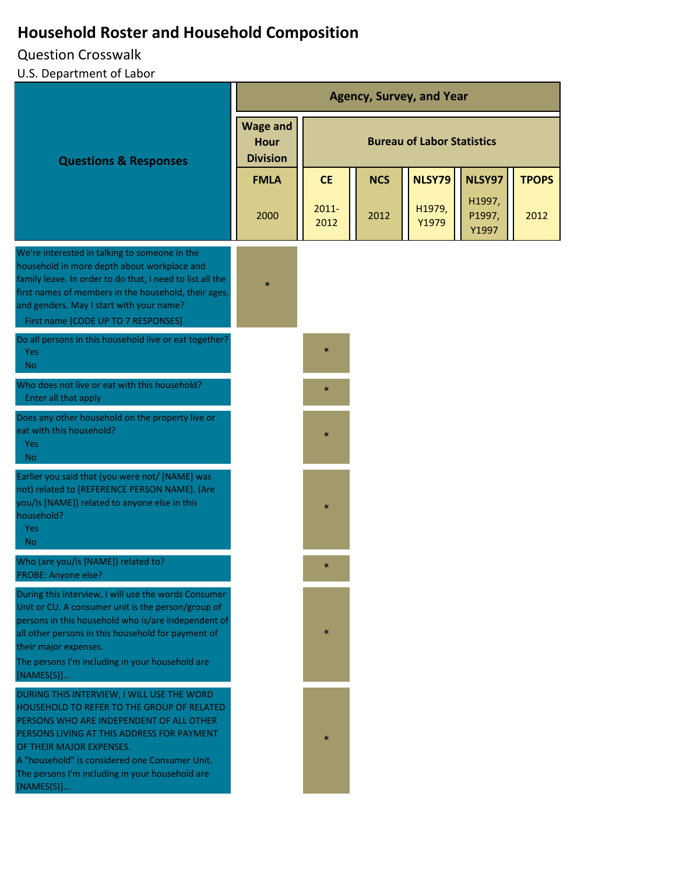# **Household Roster and Household Composition**

## Question Crosswalk

## U.S. Department of Labor

|                                                                                                                                                                                                                                                                                                                                   | <b>Agency, Survey, and Year</b>                   |                                   |            |                 |                           |              |
|-----------------------------------------------------------------------------------------------------------------------------------------------------------------------------------------------------------------------------------------------------------------------------------------------------------------------------------|---------------------------------------------------|-----------------------------------|------------|-----------------|---------------------------|--------------|
| <b>Questions &amp; Responses</b>                                                                                                                                                                                                                                                                                                  | <b>Wage and</b><br><b>Hour</b><br><b>Division</b> | <b>Bureau of Labor Statistics</b> |            |                 |                           |              |
|                                                                                                                                                                                                                                                                                                                                   | <b>FMLA</b>                                       | <b>CE</b>                         | <b>NCS</b> | NLSY79          | NLSY97                    | <b>TPOPS</b> |
|                                                                                                                                                                                                                                                                                                                                   | 2000                                              | $2011 -$<br>2012                  | 2012       | H1979,<br>Y1979 | H1997,<br>P1997,<br>Y1997 | 2012         |
| We're interested in talking to someone in the<br>household in more depth about workplace and<br>family leave. In order to do that, I need to list all the<br>first names of members in the household, their ages,<br>and genders. May I start with your name?<br>First name [CODE UP TO 7 RESPONSES]                              | $\ast$                                            |                                   |            |                 |                           |              |
| Do all persons in this household live or eat together?<br>Yes<br><b>No</b>                                                                                                                                                                                                                                                        |                                                   | $\ast$                            |            |                 |                           |              |
| Who does not live or eat with this household?<br>Enter all that apply                                                                                                                                                                                                                                                             |                                                   | $\ast$                            |            |                 |                           |              |
| Does any other household on the property live or<br>eat with this household?<br>Yes<br><b>No</b>                                                                                                                                                                                                                                  |                                                   | $\ast$                            |            |                 |                           |              |
| Earlier you said that (you were not/ [NAME] was<br>not) related to [REFERENCE PERSON NAME]. (Are<br>you/Is [NAME]) related to anyone else in this<br>household?<br>Yes<br>No.                                                                                                                                                     |                                                   | $\ast$                            |            |                 |                           |              |
| Who (are you/is [NAME]) related to?<br>PROBE: Anyone else?                                                                                                                                                                                                                                                                        |                                                   | $\ast$                            |            |                 |                           |              |
| During this interview, I will use the words Consumer<br>Unit or CU. A consumer unit is the person/group of<br>persons in this household who is/are independent of<br>all other persons in this household for payment of<br>their major expenses.<br>The persons I'm including in your household are<br>[NAMES(S)]                 |                                                   | *                                 |            |                 |                           |              |
| DURING THIS INTERVIEW, I WILL USE THE WORD<br>HOUSEHOLD TO REFER TO THE GROUP OF RELATED<br>PERSONS WHO ARE INDEPENDENT OF ALL OTHER<br>PERSONS LIVING AT THIS ADDRESS FOR PAYMENT<br>OF THEIR MAJOR EXPENSES.<br>A "household" is considered one Consumer Unit.<br>The persons I'm including in your household are<br>[NAMES(S)] |                                                   |                                   |            |                 |                           |              |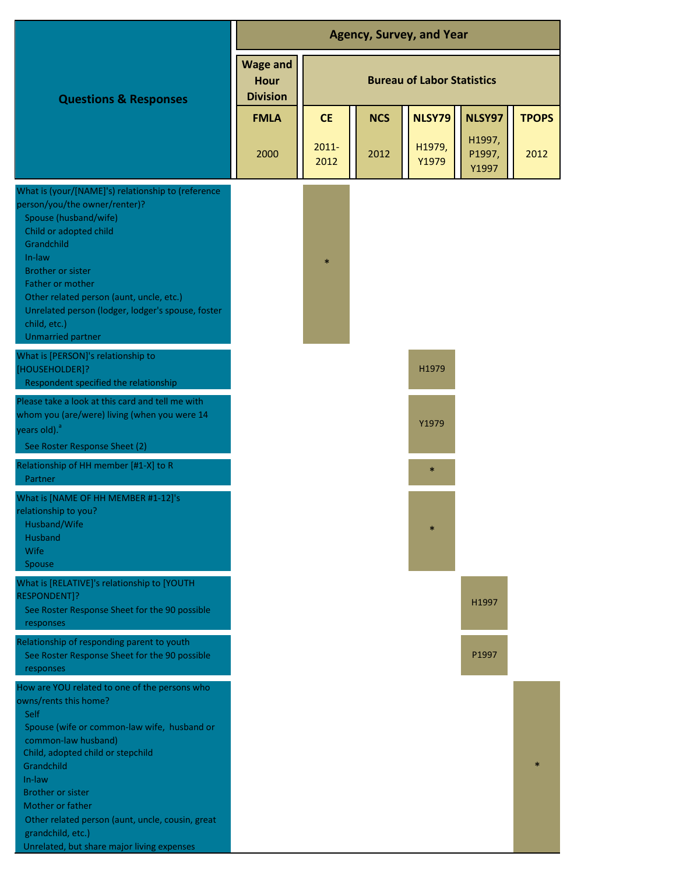|                                                                                                                                                                                                                                                                                                                                                                                          | <b>Agency, Survey, and Year</b>            |                                   |            |                 |                           |              |  |
|------------------------------------------------------------------------------------------------------------------------------------------------------------------------------------------------------------------------------------------------------------------------------------------------------------------------------------------------------------------------------------------|--------------------------------------------|-----------------------------------|------------|-----------------|---------------------------|--------------|--|
| <b>Questions &amp; Responses</b>                                                                                                                                                                                                                                                                                                                                                         | <b>Wage and</b><br>Hour<br><b>Division</b> | <b>Bureau of Labor Statistics</b> |            |                 |                           |              |  |
|                                                                                                                                                                                                                                                                                                                                                                                          | <b>FMLA</b>                                | <b>CE</b>                         | <b>NCS</b> | NLSY79          | NLSY97                    | <b>TPOPS</b> |  |
|                                                                                                                                                                                                                                                                                                                                                                                          | 2000                                       | $2011 -$<br>2012                  | 2012       | H1979,<br>Y1979 | H1997,<br>P1997,<br>Y1997 | 2012         |  |
| What is (your/[NAME]'s) relationship to (reference<br>person/you/the owner/renter)?<br>Spouse (husband/wife)<br>Child or adopted child<br>Grandchild<br>In-law<br><b>Brother or sister</b><br>Father or mother<br>Other related person (aunt, uncle, etc.)<br>Unrelated person (lodger, lodger's spouse, foster<br>child, etc.)<br><b>Unmarried partner</b>                              |                                            | $\ast$                            |            |                 |                           |              |  |
| What is [PERSON]'s relationship to<br>[HOUSEHOLDER]?<br>Respondent specified the relationship                                                                                                                                                                                                                                                                                            |                                            |                                   |            | H1979           |                           |              |  |
| Please take a look at this card and tell me with<br>whom you (are/were) living (when you were 14<br>years old). <sup>a</sup><br>See Roster Response Sheet (2)                                                                                                                                                                                                                            |                                            |                                   |            | Y1979           |                           |              |  |
| Relationship of HH member [#1-X] to R<br>Partner                                                                                                                                                                                                                                                                                                                                         |                                            |                                   |            | $\ast$          |                           |              |  |
| What is [NAME OF HH MEMBER #1-12]'s<br>relationship to you?<br>Husband/Wife<br>Husband<br>Wife<br><b>Spouse</b>                                                                                                                                                                                                                                                                          |                                            |                                   |            | $\ast$          |                           |              |  |
| What is [RELATIVE]'s relationship to [YOUTH<br>RESPONDENT]?<br>See Roster Response Sheet for the 90 possible<br>responses                                                                                                                                                                                                                                                                |                                            |                                   |            |                 | H1997                     |              |  |
| Relationship of responding parent to youth<br>See Roster Response Sheet for the 90 possible<br>responses                                                                                                                                                                                                                                                                                 |                                            |                                   |            |                 | P1997                     |              |  |
| How are YOU related to one of the persons who<br>owns/rents this home?<br>Self<br>Spouse (wife or common-law wife, husband or<br>common-law husband)<br>Child, adopted child or stepchild<br>Grandchild<br>In-law<br><b>Brother or sister</b><br>Mother or father<br>Other related person (aunt, uncle, cousin, great<br>grandchild, etc.)<br>Unrelated, but share major living expenses |                                            |                                   |            |                 |                           |              |  |